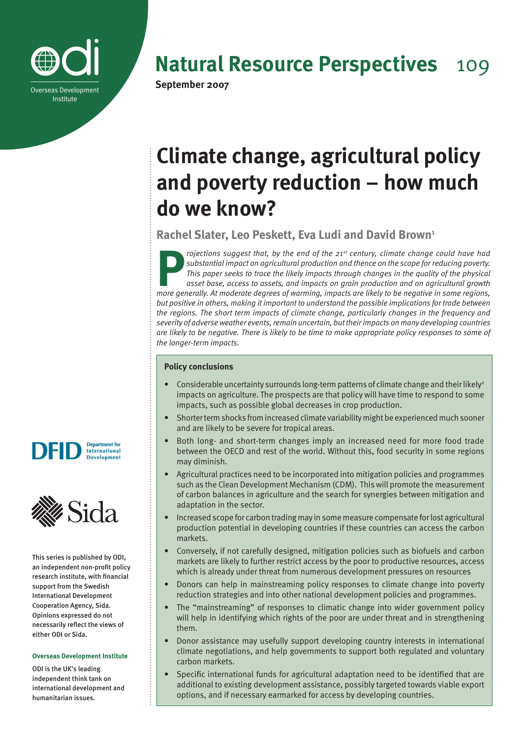

## **Natural Resource Perspectives** 109

# **Climate change, agricultural policy and poverty reduction – how much do we know?**

**Rachel Slater, Leo Peskett, Eva Ludi and David Brown1**

**P***rojections suggest that, by the end of the 21st century, climate change could have had substantial impact on agricultural production and thence on the scope for reducing poverty. This paper seeks to trace the likely impacts through changes in the quality of the physical asset base, access to assets, and impacts on grain production and on agricultural growth more generally. At moderate degrees of warming, impacts are likely to be negative in some regions, but positive in others, making it important to understand the possible implications for trade between the regions. The short term impacts of climate change, particularly changes in the frequency and severity of adverse weather events, remain uncertain, but their impacts on many developing countries are likely to be negative. There is likely to be time to make appropriate policy responses to some of the longer-term impacts.*

## **Policy conclusions**

- Considerable uncertainty surrounds long-term patterns of climate change and their likely<sup>2</sup> impacts on agriculture. The prospects are that policy will have time to respond to some impacts, such as possible global decreases in crop production. •
- Shorter term shocks from increased climate variability might be experienced much sooner and are likely to be severe for tropical areas. •
- Both long- and short-term changes imply an increased need for more food trade between the OECD and rest of the world. Without this, food security in some regions may diminish. •
- Agricultural practices need to be incorporated into mitigation policies and programmes such as the Clean Development Mechanism (CDM). This will promote the measurement of carbon balances in agriculture and the search for synergies between mitigation and adaptation in the sector. •
- Increased scope for carbon trading may in some measure compensate for lost agricultural production potential in developing countries if these countries can access the carbon markets. •
- Conversely, if not carefully designed, mitigation policies such as biofuels and carbon markets are likely to further restrict access by the poor to productive resources, access which is already under threat from numerous development pressures on resources •
- Donors can help in mainstreaming policy responses to climate change into poverty reduction strategies and into other national development policies and programmes. •
- The "mainstreaming" of responses to climatic change into wider government policy will help in identifying which rights of the poor are under threat and in strengthening them. •
- Donor assistance may usefully support developing country interests in international climate negotiations, and help governments to support both regulated and voluntary carbon markets. •
- Specific international funds for agricultural adaptation need to be identified that are additional to existing development assistance, possibly targeted towards viable export options, and if necessary earmarked for access by developing countries. •





This series is published by ODI, an independent non-profit policy research institute, with financial support from the Swedish International Development Cooperation Agency, Sida. Opinions expressed do not necessarily reflect the views of either ODI or Sida.

#### **Overseas Development Institute**

ODI is the UK's leading independent think tank on international development and humanitarian issues.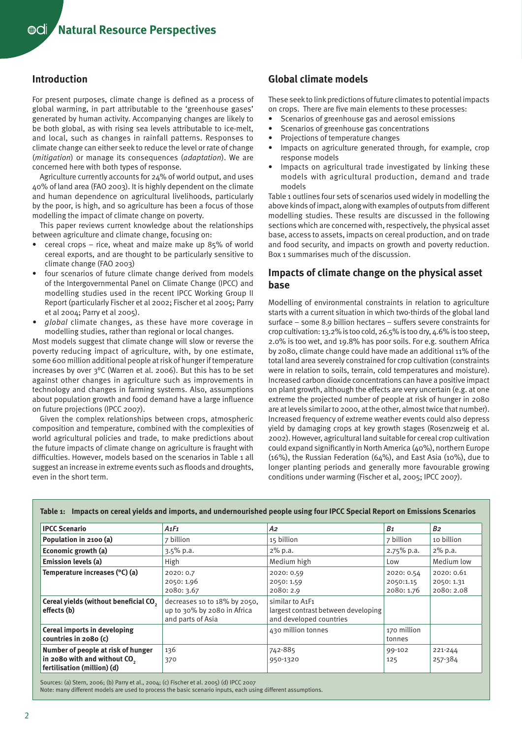## **Introduction**

For present purposes, climate change is defined as a process of global warming, in part attributable to the 'greenhouse gases' generated by human activity. Accompanying changes are likely to be both global, as with rising sea levels attributable to ice-melt, and local, such as changes in rainfall patterns. Responses to climate change can either seek to reduce the level or rate of change (*mitigation*) or manage its consequences (*adaptation*). We are concerned here with both types of response.

Agriculture currently accounts for 24% of world output, and uses 40% of land area (FAO 2003). It is highly dependent on the climate and human dependence on agricultural livelihoods, particularly by the poor, is high, and so agriculture has been a focus of those modelling the impact of climate change on poverty.

This paper reviews current knowledge about the relationships between agriculture and climate change, focusing on:

- cereal crops rice, wheat and maize make up 85% of world cereal exports, and are thought to be particularly sensitive to climate change (FAO 2003) •
- four scenarios of future climate change derived from models of the Intergovernmental Panel on Climate Change (IPCC) and modelling studies used in the recent IPCC Working Group II Report (particularly Fischer et al 2002; Fischer et al 2005; Parry et al 2004; Parry et al 2005). •
- *global* climate changes, as these have more coverage in modelling studies, rather than regional or local changes. *•*

Most models suggest that climate change will slow or reverse the poverty reducing impact of agriculture, with, by one estimate, some 600 million additional people at risk of hunger if temperature increases by over 3°C (Warren et al. 2006). But this has to be set against other changes in agriculture such as improvements in technology and changes in farming systems. Also, assumptions about population growth and food demand have a large influence on future projections (IPCC 2007).

Given the complex relationships between crops, atmospheric composition and temperature, combined with the complexities of world agricultural policies and trade, to make predictions about the future impacts of climate change on agriculture is fraught with difficulties. However, models based on the scenarios in Table 1 all suggest an increase in extreme events such as floods and droughts, even in the short term.

## **Global climate models**

These seek to link predictions of future climates to potential impacts on crops. There are five main elements to these processes:

- Scenarios of greenhouse gas and aerosol emissions •
- Scenarios of greenhouse gas concentrations •
- Projections of temperature changes •
- Impacts on agriculture generated through, for example, crop response models •
- Impacts on agricultural trade investigated by linking these models with agricultural production, demand and trade models •

Table 1 outlines four sets of scenarios used widely in modelling the above kinds of impact, along with examples of outputs from different modelling studies. These results are discussed in the following sections which are concerned with, respectively, the physical asset base, access to assets, impacts on cereal production, and on trade and food security, and impacts on growth and poverty reduction. Box 1 summarises much of the discussion.

## **Impacts of climate change on the physical asset base**

Modelling of environmental constraints in relation to agriculture starts with a current situation in which two-thirds of the global land surface – some 8.9 billion hectares – suffers severe constraints for crop cultivation: 13.2% is too cold, 26.5% is too dry, 4.6% is too steep, 2.0% is too wet, and 19.8% has poor soils. For e.g. southern Africa by 2080, climate change could have made an additional 11% of the total land area severely constrained for crop cultivation (constraints were in relation to soils, terrain, cold temperatures and moisture). Increased carbon dioxide concentrations can have a positive impact on plant growth, although the effects are very uncertain (e.g. at one extreme the projected number of people at risk of hunger in 2080 are at levels similar to 2000, at the other, almost twice that number). Increased frequency of extreme weather events could also depress yield by damaging crops at key growth stages (Rosenzweig et al. 2002). However, agricultural land suitable for cereal crop cultivation could expand significantly in North America (40%), northern Europe (16%), the Russian Federation (64%), and East Asia (10%), due to longer planting periods and generally more favourable growing conditions under warming (Fischer et al, 2005; IPCC 2007).

| <b>IPCC Scenario</b>                                                                                          | A1F1                                                                             | A2                                                                                | B <sub>1</sub>        | <b>B</b> <sub>2</sub> |
|---------------------------------------------------------------------------------------------------------------|----------------------------------------------------------------------------------|-----------------------------------------------------------------------------------|-----------------------|-----------------------|
| Population in 2100 (a)                                                                                        | 7 billion                                                                        | 15 billion                                                                        | 7 billion             | 10 billion            |
| Economic growth (a)                                                                                           | $3.5\%$ p.a.                                                                     | 2% p.a.                                                                           | $2.75\%$ p.a.         | 2% p.a.               |
| <b>Emission levels (a)</b>                                                                                    | High                                                                             | Medium high                                                                       | Low                   | Medium low            |
| Temperature increases (°C) (a)                                                                                | 2020: 0.7                                                                        | 2020: 0.59                                                                        | 2020: 0.54            | 2020: 0.61            |
|                                                                                                               | 2050: 1.96                                                                       | 2050: 1.59                                                                        | 2050:1.15             | 2050: 1.31            |
|                                                                                                               | 2080: 3.67                                                                       | 2080: 2.9                                                                         | 2080: 1.76            | 2080: 2.08            |
| Cereal yields (without beneficial CO,<br>effects (b)                                                          | decreases 10 to 18% by 2050,<br>up to 30% by 2080 in Africa<br>and parts of Asia | similar to A1F1<br>largest contrast between developing<br>and developed countries |                       |                       |
| Cereal imports in developing<br>countries in 2080 (c)                                                         |                                                                                  | 430 million tonnes                                                                | 170 million<br>tonnes |                       |
| Number of people at risk of hunger<br>in 2080 with and without CO <sub>2</sub><br>fertilisation (million) (d) | 136<br>370                                                                       | 742-885<br>950-1320                                                               | 99-102<br>125         | 221-244<br>257-384    |

**Table 1: Impacts on cereal yields and imports, and undernourished people using four IPCC Special Report on Emissions Scenarios**

Sources: (a) Stern, 2006; (b) Parry et al., 2004; (c) Fischer et al. 2005) (d) IPCC 2007

Note: many different models are used to process the basic scenario inputs, each using different assumptions.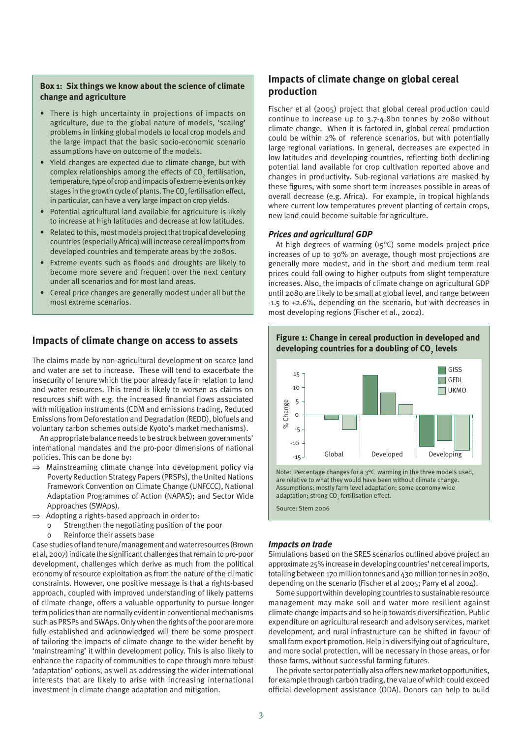#### **Box 1: Six things we know about the science of climate change and agriculture**

- There is high uncertainty in projections of impacts on agriculture, due to the global nature of models, 'scaling' problems in linking global models to local crop models and the large impact that the basic socio-economic scenario assumptions have on outcome of the models.
- Yield changes are expected due to climate change, but with complex relationships among the effects of CO<sub>2</sub> fertilisation, temperature, type of crop and impacts of extreme events on key stages in the growth cycle of plants. The CO $_{\textrm{\tiny{2}}}$  fertilisation effect, in particular, can have a very large impact on crop yields.
- Potential agricultural land available for agriculture is likely to increase at high latitudes and decrease at low latitudes.
- Related to this, most models project that tropical developing countries (especially Africa) will increase cereal imports from developed countries and temperate areas by the 2080s.
- Extreme events such as floods and droughts are likely to become more severe and frequent over the next century under all scenarios and for most land areas.
- Cereal price changes are generally modest under all but the most extreme scenarios.

### **Impacts of climate change on access to assets**

The claims made by non-agricultural development on scarce land and water are set to increase. These will tend to exacerbate the insecurity of tenure which the poor already face in relation to land and water resources. This trend is likely to worsen as claims on resources shift with e.g. the increased financial flows associated with mitigation instruments (CDM and emissions trading, Reduced Emissions from Deforestation and Degradation (REDD), biofuels and voluntary carbon schemes outside Kyoto's market mechanisms).

An appropriate balance needs to be struck between governments' international mandates and the pro-poor dimensions of national policies. This can be done by:

- ⇒ Mainstreaming climate change into development policy via Poverty Reduction Strategy Papers (PRSPs), the United Nations Framework Convention on Climate Change (UNFCCC), National Adaptation Programmes of Action (NAPAS); and Sector Wide Approaches (SWAps).
- $\Rightarrow$  Adopting a rights-based approach in order to:
	- o Strengthen the negotiating position of the poor
	- o Reinforce their assets base

Case studies of land tenure/management and water resources (Brown et al, 2007) indicate the significant challenges that remain to pro-poor development, challenges which derive as much from the political economy of resource exploitation as from the nature of the climatic constraints. However, one positive message is that a rights-based approach, coupled with improved understanding of likely patterns of climate change, offers a valuable opportunity to pursue longer term policies than are normally evident in conventional mechanisms such as PRSPs and SWAps. Only when the rights of the poor are more fully established and acknowledged will there be some prospect of tailoring the impacts of climate change to the wider benefit by 'mainstreaming' it within development policy. This is also likely to enhance the capacity of communities to cope through more robust 'adaptation' options, as well as addressing the wider international interests that are likely to arise with increasing international investment in climate change adaptation and mitigation.

## **Impacts of climate change on global cereal production**

Fischer et al (2005) project that global cereal production could continue to increase up to 3.7-4.8bn tonnes by 2080 without climate change. When it is factored in, global cereal production could be within 2% of reference scenarios, but with potentially large regional variations. In general, decreases are expected in low latitudes and developing countries, reflecting both declining potential land available for crop cultivation reported above and changes in productivity. Sub-regional variations are masked by these figures, with some short term increases possible in areas of overall decrease (e.g. Africa). For example, in tropical highlands where current low temperatures prevent planting of certain crops, new land could become suitable for agriculture.

#### *Prices and agricultural GDP*

At high degrees of warming  $(y<sub>5</sub>°C)$  some models project price increases of up to 30% on average, though most projections are generally more modest, and in the short and medium term real prices could fall owing to higher outputs from slight temperature increases. Also, the impacts of climate change on agricultural GDP until 2080 are likely to be small at global level, and range between -1.5 to +2.6%, depending on the scenario, but with decreases in most developing regions (Fischer et al., 2002).



## **Figure 1: Change in cereal production in developed and developing countries for a doubling of CO<sup>2</sup> levels**

Assumptions: mostly farm level adaptation; some economy wide adaptation; strong  $\mathrm{CO}_2$  fertilisation effect.

Source: Stern 2006

#### *Impacts on trade*

Simulations based on the SRES scenarios outlined above project an approximate 25% increase in developing countries' net cereal imports, totalling between 170 million tonnes and 430 million tonnes in 2080, depending on the scenario (Fischer et al 2005; Parry et al 2004).

Some support within developing countries to sustainable resource management may make soil and water more resilient against climate change impacts and so help towards diversification. Public expenditure on agricultural research and advisory services, market development, and rural infrastructure can be shifted in favour of small farm export promotion. Help in diversifying out of agriculture, and more social protection, will be necessary in those areas, or for those farms, without successful farming futures.

The private sector potentially also offers new market opportunities, for example through carbon trading, the value of which could exceed official development assistance (ODA). Donors can help to build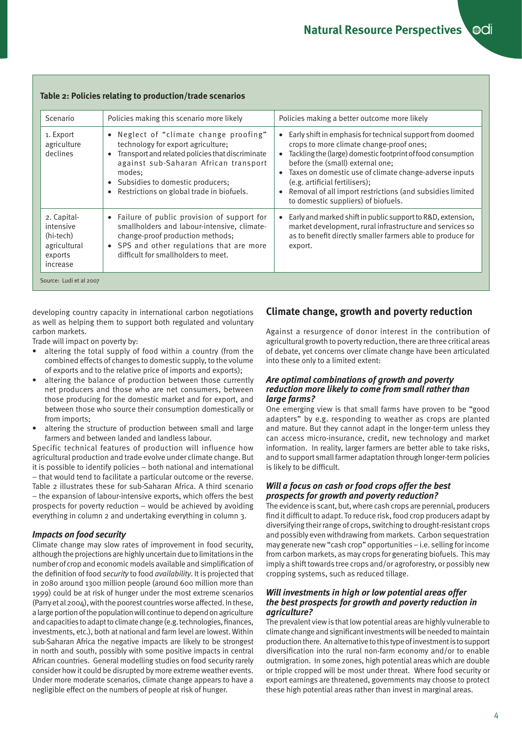| Scenario                                                                     | Policies making this scenario more likely                                                                                                                                                                                                                                                                 | Policies making a better outcome more likely                                                                                                                                                                                                                                                                                                                                                                                                                 |
|------------------------------------------------------------------------------|-----------------------------------------------------------------------------------------------------------------------------------------------------------------------------------------------------------------------------------------------------------------------------------------------------------|--------------------------------------------------------------------------------------------------------------------------------------------------------------------------------------------------------------------------------------------------------------------------------------------------------------------------------------------------------------------------------------------------------------------------------------------------------------|
| 1. Export<br>agriculture<br>declines                                         | Neglect of "climate change proofing"<br>$\bullet$<br>technology for export agriculture;<br>Transport and related policies that discriminate<br>$\bullet$<br>against sub-Saharan African transport<br>modes:<br>Subsidies to domestic producers;<br>$\bullet$<br>Restrictions on global trade in biofuels. | Early shift in emphasis for technical support from doomed<br>$\bullet$<br>crops to more climate change-proof ones;<br>Tackling the (large) domestic footprint of food consumption<br>$\bullet$<br>before the (small) external one;<br>Taxes on domestic use of climate change-adverse inputs<br>$\bullet$<br>(e.g. artificial fertilisers);<br>Removal of all import restrictions (and subsidies limited<br>$\bullet$<br>to domestic suppliers) of biofuels. |
| 2. Capital-<br>intensive<br>(hi-tech)<br>agricultural<br>exports<br>increase | • Failure of public provision of support for<br>smallholders and labour-intensive, climate-<br>change-proof production methods;<br>• SPS and other regulations that are more<br>difficult for smallholders to meet.                                                                                       | Early and marked shift in public support to R&D, extension,<br>$\bullet$<br>market development, rural infrastructure and services so<br>as to benefit directly smaller farmers able to produce for<br>export.                                                                                                                                                                                                                                                |

#### **Table 2: Policies relating to production/trade scenarios**

developing country capacity in international carbon negotiations as well as helping them to support both regulated and voluntary carbon markets.

Trade will impact on poverty by:

- altering the total supply of food within a country (from the combined effects of changes to domestic supply, to the volume of exports and to the relative price of imports and exports); •
- altering the balance of production between those currently net producers and those who are net consumers, between those producing for the domestic market and for export, and between those who source their consumption domestically or from imports; •
- altering the structure of production between small and large farmers and between landed and landless labour. •

Specific technical features of production will influence how agricultural production and trade evolve under climate change. But it is possible to identify policies – both national and international – that would tend to facilitate a particular outcome or the reverse. Table 2 illustrates these for sub-Saharan Africa. A third scenario – the expansion of labour-intensive exports, which offers the best prospects for poverty reduction – would be achieved by avoiding everything in column 2 and undertaking everything in column 3.

#### *Impacts on food security*

Climate change may slow rates of improvement in food security, although the projections are highly uncertain due to limitations in the number of crop and economic models available and simplification of the definition of food *security* to food *availability*. It is projected that in 2080 around 1300 million people (around 600 million more than 1999) could be at risk of hunger under the most extreme scenarios (Parry et al 2004), with the poorest countries worse affected. In these, a large portion of the population will continue to depend on agriculture and capacities to adapt to climate change (e.g. technologies, finances, investments, etc.), both at national and farm level are lowest. Within sub-Saharan Africa the negative impacts are likely to be strongest in north and south, possibly with some positive impacts in central African countries. General modelling studies on food security rarely consider how it could be disrupted by more extreme weather events. Under more moderate scenarios, climate change appears to have a negligible effect on the numbers of people at risk of hunger.

## **Climate change, growth and poverty reduction**

Against a resurgence of donor interest in the contribution of agricultural growth to poverty reduction, there are three critical areas of debate, yet concerns over climate change have been articulated into these only to a limited extent:

#### *Are optimal combinations of growth and poverty reduction more likely to come from small rather than large farms?*

One emerging view is that small farms have proven to be "good adapters" by e.g. responding to weather as crops are planted and mature. But they cannot adapt in the longer-term unless they can access micro-insurance, credit, new technology and market information. In reality, larger farmers are better able to take risks, and to support small farmer adaptation through longer-term policies is likely to be difficult.

#### *Will a focus on cash or food crops offer the best prospects for growth and poverty reduction?*

The evidence is scant, but, where cash crops are perennial, producers find it difficult to adapt. To reduce risk, food crop producers adapt by diversifying their range of crops, switching to drought-resistant crops and possibly even withdrawing from markets. Carbon sequestration may generate new "cash crop" opportunities – i.e. selling for income from carbon markets, as may crops for generating biofuels. This may imply a shift towards tree crops and/or agroforestry, or possibly new cropping systems, such as reduced tillage.

#### *Will investments in high or low potential areas offer the best prospects for growth and poverty reduction in agriculture?*

The prevalent view is that low potential areas are highly vulnerable to climate change and significant investments will be needed to maintain production there. An alternative to this type of investment is to support diversification into the rural non-farm economy and/or to enable outmigration. In some zones, high potential areas which are double or triple cropped will be most under threat. Where food security or export earnings are threatened, governments may choose to protect these high potential areas rather than invest in marginal areas.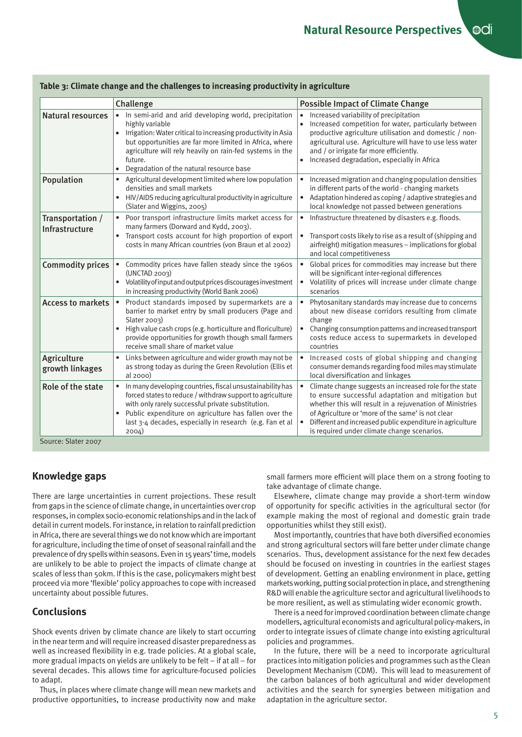| • In semi-arid and arid developing world, precipitation<br>Increased variability of precipitation<br><b>Natural resources</b><br>$\bullet$<br>highly variable<br>Irrigation: Water critical to increasing productivity in Asia<br>but opportunities are far more limited in Africa, where<br>agriculture will rely heavily on rain-fed systems in the<br>and / or irrigate far more efficiently.<br>future.<br>Increased degradation, especially in Africa<br>$\bullet$<br>Degradation of the natural resource base<br>$\bullet$<br>Population<br>Agricultural development limited where low population<br>$\bullet$<br>$\bullet$<br>densities and small markets<br>in different parts of the world - changing markets<br>HIV/AIDS reducing agricultural productivity in agriculture<br>$\bullet$<br>$\bullet$<br>(Slater and Wiggins, 2005)<br>local knowledge not passed between generations<br>Poor transport infrastructure limits market access for<br>Infrastructure threatened by disasters e.g. floods.<br>Transportation /<br>$\bullet$<br>many farmers (Dorward and Kydd, 2003).<br>Infrastructure<br>Transport costs account for high proportion of export<br>$\bullet$<br>$\bullet$<br>costs in many African countries (von Braun et al 2002)<br>and local competitiveness<br><b>Commodity prices</b><br>Commodity prices have fallen steady since the 1960s<br>(UNCTAD 2003)<br>will be significant inter-regional differences<br>Volatility of input and output prices discourages investment<br>in increasing productivity (World Bank 2006)<br>scenarios<br>Product standards imposed by supermarkets are a<br><b>Access to markets</b><br>$\bullet$ | <b>Possible Impact of Climate Change</b>                                                                                                                                                                                               |
|----------------------------------------------------------------------------------------------------------------------------------------------------------------------------------------------------------------------------------------------------------------------------------------------------------------------------------------------------------------------------------------------------------------------------------------------------------------------------------------------------------------------------------------------------------------------------------------------------------------------------------------------------------------------------------------------------------------------------------------------------------------------------------------------------------------------------------------------------------------------------------------------------------------------------------------------------------------------------------------------------------------------------------------------------------------------------------------------------------------------------------------------------------------------------------------------------------------------------------------------------------------------------------------------------------------------------------------------------------------------------------------------------------------------------------------------------------------------------------------------------------------------------------------------------------------------------------------------------------------------------------------------------------------------|----------------------------------------------------------------------------------------------------------------------------------------------------------------------------------------------------------------------------------------|
|                                                                                                                                                                                                                                                                                                                                                                                                                                                                                                                                                                                                                                                                                                                                                                                                                                                                                                                                                                                                                                                                                                                                                                                                                                                                                                                                                                                                                                                                                                                                                                                                                                                                      | Increased competition for water, particularly between<br>productive agriculture utilisation and domestic / non-<br>agricultural use. Agriculture will have to use less water                                                           |
|                                                                                                                                                                                                                                                                                                                                                                                                                                                                                                                                                                                                                                                                                                                                                                                                                                                                                                                                                                                                                                                                                                                                                                                                                                                                                                                                                                                                                                                                                                                                                                                                                                                                      | Increased migration and changing population densities<br>Adaptation hindered as coping / adaptive strategies and                                                                                                                       |
|                                                                                                                                                                                                                                                                                                                                                                                                                                                                                                                                                                                                                                                                                                                                                                                                                                                                                                                                                                                                                                                                                                                                                                                                                                                                                                                                                                                                                                                                                                                                                                                                                                                                      | Transport costs likely to rise as a result of (shipping and<br>airfreight) mitigation measures - implications for global                                                                                                               |
|                                                                                                                                                                                                                                                                                                                                                                                                                                                                                                                                                                                                                                                                                                                                                                                                                                                                                                                                                                                                                                                                                                                                                                                                                                                                                                                                                                                                                                                                                                                                                                                                                                                                      | Global prices for commodities may increase but there<br>Volatility of prices will increase under climate change                                                                                                                        |
| barrier to market entry by small producers (Page and<br>Slater 2003)<br>change<br>High value cash crops (e.g. horticulture and floriculture)<br>$\bullet$<br>provide opportunities for growth though small farmers<br>receive small share of market value<br>countries                                                                                                                                                                                                                                                                                                                                                                                                                                                                                                                                                                                                                                                                                                                                                                                                                                                                                                                                                                                                                                                                                                                                                                                                                                                                                                                                                                                               | Phytosanitary standards may increase due to concerns<br>about new disease corridors resulting from climate<br>Changing consumption patterns and increased transport<br>costs reduce access to supermarkets in developed                |
| Links between agriculture and wider growth may not be<br>Agriculture<br>as strong today as during the Green Revolution (Ellis et<br>growth linkages<br>local diversification and linkages<br>al 2000)                                                                                                                                                                                                                                                                                                                                                                                                                                                                                                                                                                                                                                                                                                                                                                                                                                                                                                                                                                                                                                                                                                                                                                                                                                                                                                                                                                                                                                                                | Increased costs of global shipping and changing<br>consumer demands regarding food miles may stimulate                                                                                                                                 |
| Role of the state<br>In many developing countries, fiscal unsustainability has<br>forced states to reduce / withdraw support to agriculture<br>with only rarely successful private substitution.<br>Public expenditure on agriculture has fallen over the<br>of Agriculture or 'more of the same' is not clear<br>$\bullet$<br>last 3-4 decades, especially in research (e.g. Fan et al<br>is required under climate change scenarios.<br>2004)<br>Source: Slater 2007                                                                                                                                                                                                                                                                                                                                                                                                                                                                                                                                                                                                                                                                                                                                                                                                                                                                                                                                                                                                                                                                                                                                                                                               | Climate change suggests an increased role for the state<br>to ensure successful adaptation and mitigation but<br>whether this will result in a rejuvenation of Ministries<br>Different and increased public expenditure in agriculture |

#### **Table 3: Climate change and the challenges to increasing productivity in agriculture**

## **Knowledge gaps**

There are large uncertainties in current projections. These result from gaps in the science of climate change, in uncertainties over crop responses, in complex socio-economic relationships and in the lack of detail in current models. For instance, in relation to rainfall prediction in Africa, there are several things we do not know which are important for agriculture, including the time of onset of seasonal rainfall and the prevalence of dry spells within seasons. Even in 15 years' time, models are unlikely to be able to project the impacts of climate change at scales of less than 50km. If this is the case, policymakers might best proceed via more 'flexible' policy approaches to cope with increased uncertainty about possible futures.

## **Conclusions**

Shock events driven by climate chance are likely to start occurring in the near term and will require increased disaster preparedness as well as increased flexibility in e.g. trade policies. At a global scale, more gradual impacts on yields are unlikely to be felt – if at all – for several decades. This allows time for agriculture-focused policies to adapt.

Thus, in places where climate change will mean new markets and productive opportunities, to increase productivity now and make small farmers more efficient will place them on a strong footing to take advantage of climate change.

Elsewhere, climate change may provide a short-term window of opportunity for specific activities in the agricultural sector (for example making the most of regional and domestic grain trade opportunities whilst they still exist).

Most importantly, countries that have both diversified economies and strong agricultural sectors will fare better under climate change scenarios. Thus, development assistance for the next few decades should be focused on investing in countries in the earliest stages of development. Getting an enabling environment in place, getting markets working, putting social protection in place, and strengthening R&D will enable the agriculture sector and agricultural livelihoods to be more resilient, as well as stimulating wider economic growth.

There is a need for improved coordination between climate change modellers, agricultural economists and agricultural policy-makers, in order to integrate issues of climate change into existing agricultural policies and programmes.

In the future, there will be a need to incorporate agricultural practices into mitigation policies and programmes such as the Clean Development Mechanism (CDM). This will lead to measurement of the carbon balances of both agricultural and wider development activities and the search for synergies between mitigation and adaptation in the agriculture sector.